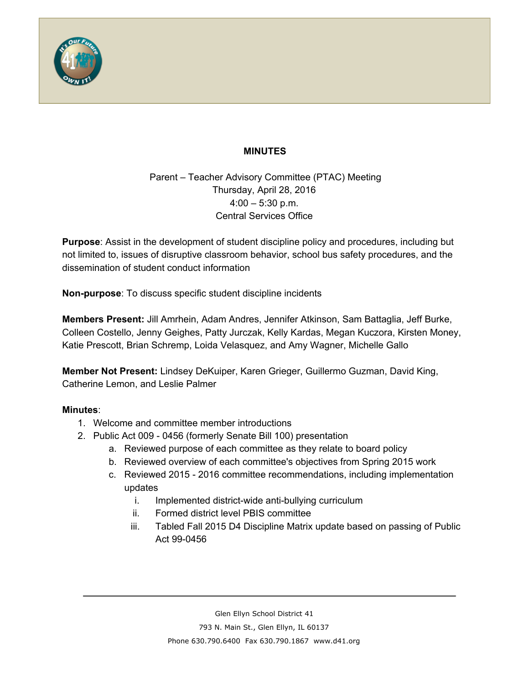

## **MINUTES**

Parent – Teacher Advisory Committee (PTAC) Meeting Thursday, April 28, 2016  $4:00 - 5:30$  p.m. Central Services Office

**Purpose**: Assist in the development of student discipline policy and procedures, including but not limited to, issues of disruptive classroom behavior, school bus safety procedures, and the dissemination of student conduct information

**Non-purpose:** To discuss specific student discipline incidents

**Members Present:** Jill Amrhein, Adam Andres, Jennifer Atkinson, Sam Battaglia, Jeff Burke, Colleen Costello, Jenny Geighes, Patty Jurczak, Kelly Kardas, Megan Kuczora, Kirsten Money, Katie Prescott, Brian Schremp, Loida Velasquez, and Amy Wagner, Michelle Gallo

**Member Not Present:**Lindsey DeKuiper, Karen Grieger, Guillermo Guzman, David King, Catherine Lemon, and Leslie Palmer

## **Minutes**:

- 1. Welcome and committee member introductions
- 2. Public Act 009 0456 (formerly Senate Bill 100) presentation
	- a. Reviewed purpose of each committee as they relate to board policy
	- b. Reviewed overview of each committee's objectives from Spring 2015 work
	- c. Reviewed 2015 2016 committee recommendations, including implementation updates
		- i. Implemented district-wide anti-bullying curriculum
		- ii. Formed district level PBIS committee
		- iii. Tabled Fall 2015 D4 Discipline Matrix update based on passing of Public Act 99-0456